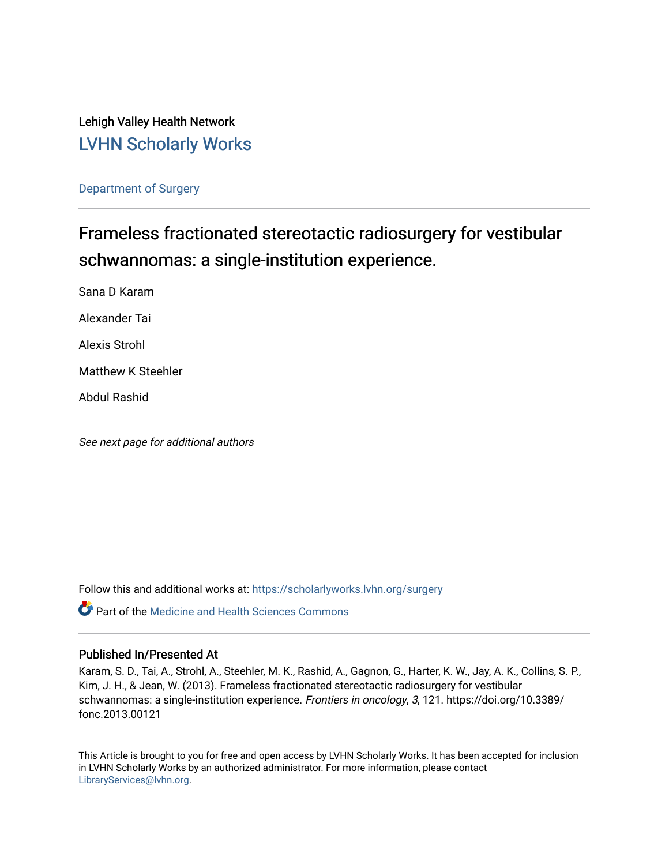Lehigh Valley Health Network [LVHN Scholarly Works](https://scholarlyworks.lvhn.org/)

[Department of Surgery](https://scholarlyworks.lvhn.org/surgery) 

# Frameless fractionated stereotactic radiosurgery for vestibular schwannomas: a single-institution experience.

Sana D Karam Alexander Tai Alexis Strohl Matthew K Steehler Abdul Rashid

See next page for additional authors

Follow this and additional works at: [https://scholarlyworks.lvhn.org/surgery](https://scholarlyworks.lvhn.org/surgery?utm_source=scholarlyworks.lvhn.org%2Fsurgery%2F1634&utm_medium=PDF&utm_campaign=PDFCoverPages)

**C** Part of the Medicine and Health Sciences Commons

# Published In/Presented At

Karam, S. D., Tai, A., Strohl, A., Steehler, M. K., Rashid, A., Gagnon, G., Harter, K. W., Jay, A. K., Collins, S. P., Kim, J. H., & Jean, W. (2013). Frameless fractionated stereotactic radiosurgery for vestibular schwannomas: a single-institution experience. Frontiers in oncology, 3, 121. https://doi.org/10.3389/ fonc.2013.00121

This Article is brought to you for free and open access by LVHN Scholarly Works. It has been accepted for inclusion in LVHN Scholarly Works by an authorized administrator. For more information, please contact [LibraryServices@lvhn.org](mailto:LibraryServices@lvhn.org).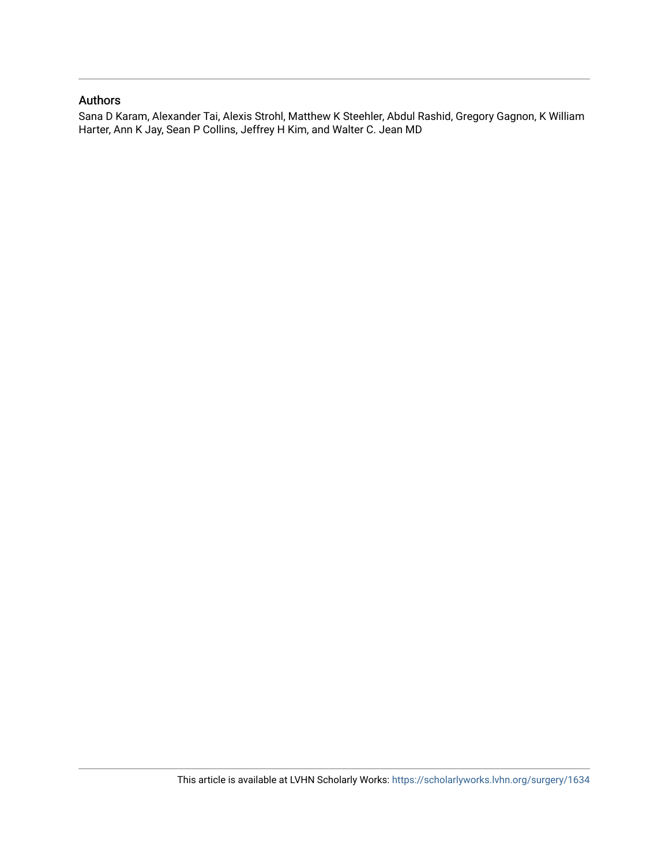# Authors

Sana D Karam, Alexander Tai, Alexis Strohl, Matthew K Steehler, Abdul Rashid, Gregory Gagnon, K William Harter, Ann K Jay, Sean P Collins, Jeffrey H Kim, and Walter C. Jean MD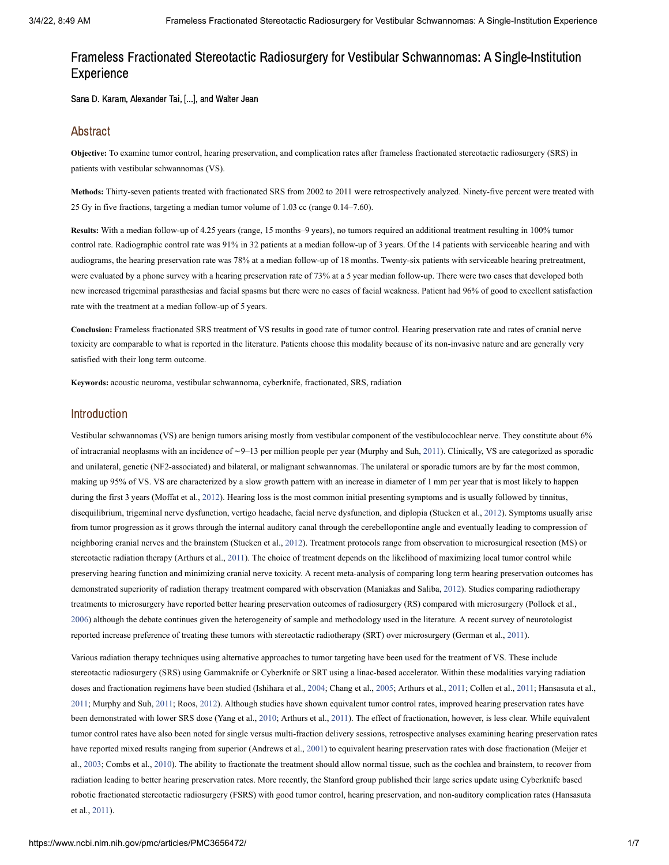Sana D. Karam, Alexander Tai, [...], and Walter Jean

# Abstract

**Objective:** To examine tumor control, hearing preservation, and complication rates after frameless fractionated stereotactic radiosurgery (SRS) in patients with vestibular schwannomas (VS).

**Methods:** Thirty-seven patients treated with fractionated SRS from 2002 to 2011 were retrospectively analyzed. Ninety-five percent were treated with 25 Gy in five fractions, targeting a median tumor volume of 1.03 cc (range 0.14–7.60).

**Results:** With a median follow-up of 4.25 years (range, 15 months–9 years), no tumors required an additional treatment resulting in 100% tumor control rate. Radiographic control rate was 91% in 32 patients at a median follow-up of 3 years. Of the 14 patients with serviceable hearing and with audiograms, the hearing preservation rate was 78% at a median follow-up of 18 months. Twenty-six patients with serviceable hearing pretreatment, were evaluated by a phone survey with a hearing preservation rate of 73% at a 5 year median follow-up. There were two cases that developed both new increased trigeminal parasthesias and facial spasms but there were no cases of facial weakness. Patient had 96% of good to excellent satisfaction rate with the treatment at a median follow-up of 5 years.

**Conclusion:** Frameless fractionated SRS treatment of VS results in good rate of tumor control. Hearing preservation rate and rates of cranial nerve toxicity are comparable to what is reported in the literature. Patients choose this modality because of its non-invasive nature and are generally very satisfied with their long term outcome.

**Keywords:** acoustic neuroma, vestibular schwannoma, cyberknife, fractionated, SRS, radiation

# Introduction

Vestibular schwannomas (VS) are benign tumors arising mostly from vestibular component of the vestibulocochlear nerve. They constitute about 6% of intracranial neoplasms with an incidence of ∼9–13 per million people per year (Murphy and Suh, [2011](#page-7-0)). Clinically, VS are categorized as sporadic and unilateral, genetic (NF2-associated) and bilateral, or malignant schwannomas. The unilateral or sporadic tumors are by far the most common, making up 95% of VS. VS are characterized by a slow growth pattern with an increase in diameter of 1 mm per year that is most likely to happen during the first 3 years (Moffat et al., [2012\)](#page-7-1). Hearing loss is the most common initial presenting symptoms and is usually followed by tinnitus, disequilibrium, trigeminal nerve dysfunction, vertigo headache, facial nerve dysfunction, and diplopia (Stucken et al., [2012\)](#page-8-0). Symptoms usually arise from tumor progression as it grows through the internal auditory canal through the cerebellopontine angle and eventually leading to compression of neighboring cranial nerves and the brainstem (Stucken et al., [2012](#page-8-0)). Treatment protocols range from observation to microsurgical resection (MS) or stereotactic radiation therapy (Arthurs et al., [2011](#page-7-2)). The choice of treatment depends on the likelihood of maximizing local tumor control while preserving hearing function and minimizing cranial nerve toxicity. A recent meta-analysis of comparing long term hearing preservation outcomes has demonstrated superiority of radiation therapy treatment compared with observation (Maniakas and Saliba, [2012](#page-7-3)). Studies comparing radiotherapy treatments to microsurgery have reported better hearing preservation outcomes of radiosurgery (RS) compared with microsurgery (Pollock et al., [2006\)](#page-7-4) although the debate continues given the heterogeneity of sample and methodology used in the literature. A recent survey of neurotologist reported increase preference of treating these tumors with stereotactic radiotherapy (SRT) over microsurgery (German et al., [2011](#page-7-5)).

Various radiation therapy techniques using alternative approaches to tumor targeting have been used for the treatment of VS. These include stereotactic radiosurgery (SRS) using Gammaknife or Cyberknife or SRT using a linac-based accelerator. Within these modalities varying radiation doses and fractionation regimens have been studied (Ishihara et al., [2004;](#page-7-6) Chang et al., [2005](#page-7-7); Arthurs et al., [2011](#page-7-2); Collen et al., [2011;](#page-7-8) Hansasuta et al., [2011;](#page-7-9) Murphy and Suh, [2011](#page-7-0); Roos, [2012\)](#page-8-1). Although studies have shown equivalent tumor control rates, improved hearing preservation rates have been demonstrated with lower SRS dose (Yang et al., [2010](#page-8-2); Arthurs et al., [2011](#page-7-2)). The effect of fractionation, however, is less clear. While equivalent tumor control rates have also been noted for single versus multi-fraction delivery sessions, retrospective analyses examining hearing preservation rates have reported mixed results ranging from superior (Andrews et al., [2001\)](#page-7-10) to equivalent hearing preservation rates with dose fractionation (Meijer et al., [2003;](#page-7-11) Combs et al., [2010](#page-7-12)). The ability to fractionate the treatment should allow normal tissue, such as the cochlea and brainstem, to recover from radiation leading to better hearing preservation rates. More recently, the Stanford group published their large series update using Cyberknife based robotic fractionated stereotactic radiosurgery (FSRS) with good tumor control, hearing preservation, and non-auditory complication rates (Hansasuta et al., [2011](#page-7-9)).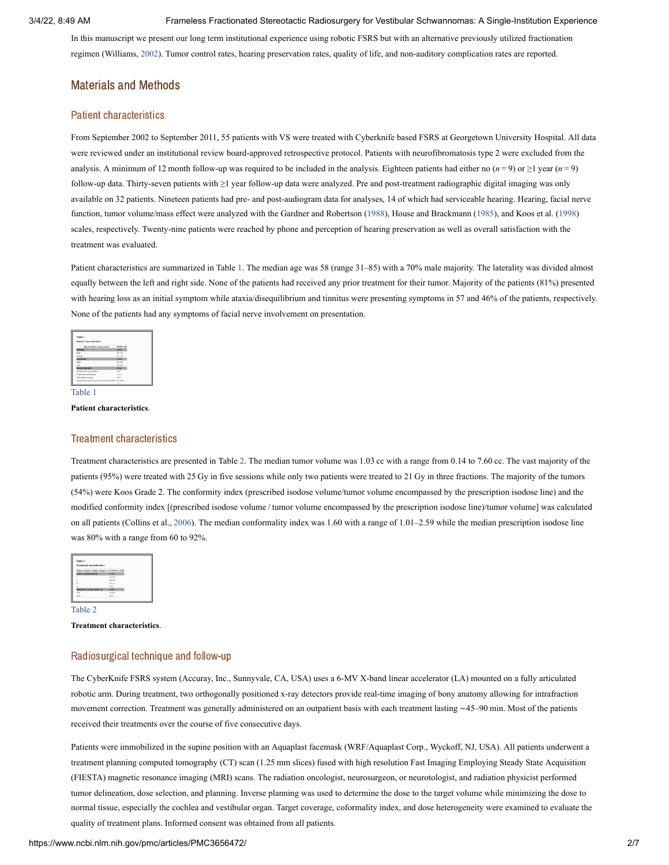In this manuscript we present our long term institutional experience using robotic FSRS but with an alternative previously utilized fractionation regimen (Williams, [2002](#page-8-3)). Tumor control rates, hearing preservation rates, quality of life, and non-auditory complication rates are reported.

# Materials and Methods

#### Patient characteristics

From September 2002 to September 2011, 55 patients with VS were treated with Cyberknife based FSRS at Georgetown University Hospital. All data were reviewed under an institutional review board-approved retrospective protocol. Patients with neurofibromatosis type 2 were excluded from the analysis. A minimum of 12 month follow-up was required to be included in the analysis. Eighteen patients had either no  $(n=9)$  or  $\geq 1$  year  $(n=9)$ follow-up data. Thirty-seven patients with ≥1 year follow-up data were analyzed. Pre and post-treatment radiographic digital imaging was only available on 32 patients. Nineteen patients had pre- and post-audiogram data for analyses, 14 of which had serviceable hearing. Hearing, facial nerve function, tumor volume/mass effect were analyzed with the Gardner and Robertson [\(1988](#page-7-13)), House and Brackmann [\(1985](#page-7-14)), and Koos et al. [\(1998\)](#page-7-15) scales, respectively. Twenty-nine patients were reached by phone and perception of hearing preservation as well as overall satisfaction with the treatment was evaluated.

Patient characteristics are summarized in [Table](https://www.ncbi.nlm.nih.gov/pmc/articles/PMC3656472/table/T1/?report=objectonly) 1. The median age was 58 (range 31–85) with a 70% male majority. The laterality was divided almost equally between the left and right side. None of the patients had received any prior treatment for their tumor. Majority of the patients (81%) presented with hearing loss as an initial symptom while ataxia/disequilibrium and tinnitus were presenting symptoms in 57 and 46% of the patients, respectively. None of the patients had any symptoms of facial nerve involvement on presentation.

| Patient characteristics.                                |                |  |  |  |
|---------------------------------------------------------|----------------|--|--|--|
| Age (median, range, years)                              | \$8,000,000    |  |  |  |
| <b>CENDER</b>                                           | nPM            |  |  |  |
| <b>Madre</b>                                            | 26 (70)        |  |  |  |
| Form also                                               | 11 (30)        |  |  |  |
| LOCATION                                                | in this        |  |  |  |
| Road                                                    | 1.6 1491       |  |  |  |
| <b>A</b>                                                | L& PELI        |  |  |  |
| <b>PRICH SURGERY</b>                                    | <b>A Phili</b> |  |  |  |
| Symphoms at presentation                                | o cer          |  |  |  |
| <b>Trigeminal parenthesias</b>                          | 1(27)          |  |  |  |
| Triageninal neuralisia                                  | o mi           |  |  |  |
| House-Brackmann Facial nerve hanchon Grade L. 37 (1881) |                |  |  |  |
| ---                                                     |                |  |  |  |

[Table](https://www.ncbi.nlm.nih.gov/pmc/articles/PMC3656472/table/T1/?report=objectonly) 1

#### **Patient characteristics**.

### Treatment characteristics

Treatment characteristics are presented in [Table](https://www.ncbi.nlm.nih.gov/pmc/articles/PMC3656472/table/T2/?report=objectonly) 2. The median tumor volume was 1.03 cc with a range from 0.14 to 7.60 cc. The vast majority of the patients (95%) were treated with 25 Gy in five sessions while only two patients were treated to 21 Gy in three fractions. The majority of the tumors (54%) were Koos Grade 2. The conformity index (prescribed isodose volume/tumor volume encompassed by the prescription isodose line) and the modified conformity index [(prescribed isodose volume / tumor volume encompassed by the prescription isodose line)/tumor volume] was calculated on all patients (Collins et al., [2006](#page-7-16)). The median conformality index was 1.60 with a range of 1.01–2.59 while the median prescription isodose line was 80% with a range from 60 to 92%.

| Table 2                                           |            |  |  |  |
|---------------------------------------------------|------------|--|--|--|
| <b>Treatment characteristics</b> .                |            |  |  |  |
| Tumor volume, median (range), cc 1.85 (0.14-7.60) |            |  |  |  |
| <b>IDDS CLASSIFICATION</b>                        | <b>APM</b> |  |  |  |
| ı                                                 | 13 (99)    |  |  |  |
| ٠                                                 | 20.043     |  |  |  |
|                                                   | 4.032      |  |  |  |
|                                                   | 0.123      |  |  |  |
| <b>SESSION, ATOTAL DOSE, Gy</b>                   | a Pul      |  |  |  |
| son                                               | 35, (95)   |  |  |  |
| 3433                                              | 2.051      |  |  |  |

[Table](https://www.ncbi.nlm.nih.gov/pmc/articles/PMC3656472/table/T2/?report=objectonly) 2

**Treatment characteristics**.

#### Radiosurgical technique and follow-up

The CyberKnife FSRS system (Accuray, Inc., Sunnyvale, CA, USA) uses a 6-MV X-band linear accelerator (LA) mounted on a fully articulated robotic arm. During treatment, two orthogonally positioned x-ray detectors provide real-time imaging of bony anatomy allowing for intrafraction movement correction. Treatment was generally administered on an outpatient basis with each treatment lasting ∼45–90 min. Most of the patients received their treatments over the course of five consecutive days.

Patients were immobilized in the supine position with an Aquaplast facemask (WRF/Aquaplast Corp., Wyckoff, NJ, USA). All patients underwent a treatment planning computed tomography (CT) scan (1.25 mm slices) fused with high resolution Fast Imaging Employing Steady State Acquisition (FIESTA) magnetic resonance imaging (MRI) scans. The radiation oncologist, neurosurgeon, or neurotologist, and radiation physicist performed tumor delineation, dose selection, and planning. Inverse planning was used to determine the dose to the target volume while minimizing the dose to normal tissue, especially the cochlea and vestibular organ. Target coverage, coformality index, and dose heterogeneity were examined to evaluate the quality of treatment plans. Informed consent was obtained from all patients.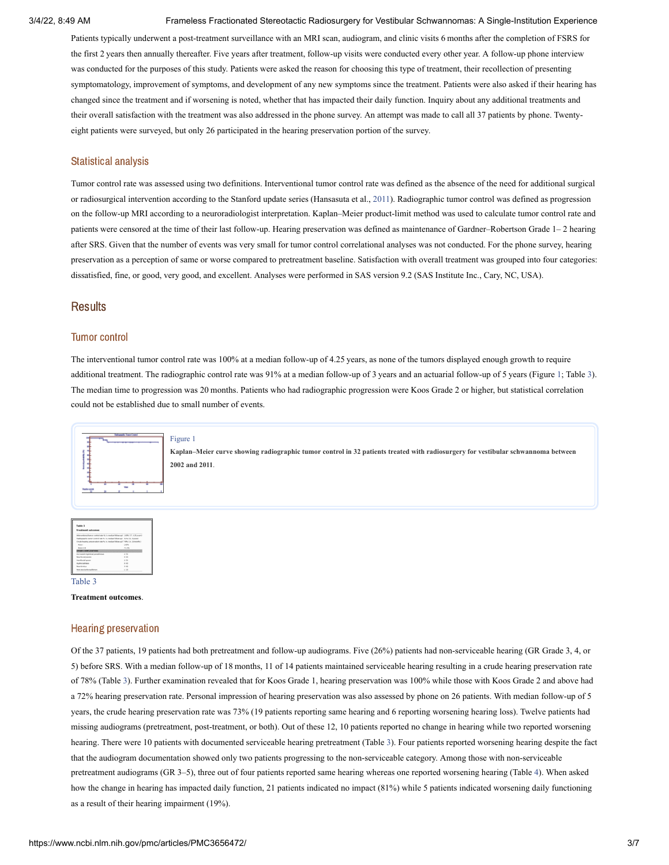Patients typically underwent a post-treatment surveillance with an MRI scan, audiogram, and clinic visits 6 months after the completion of FSRS for the first 2 years then annually thereafter. Five years after treatment, follow-up visits were conducted every other year. A follow-up phone interview was conducted for the purposes of this study. Patients were asked the reason for choosing this type of treatment, their recollection of presenting symptomatology, improvement of symptoms, and development of any new symptoms since the treatment. Patients were also asked if their hearing has changed since the treatment and if worsening is noted, whether that has impacted their daily function. Inquiry about any additional treatments and their overall satisfaction with the treatment was also addressed in the phone survey. An attempt was made to call all 37 patients by phone. Twentyeight patients were surveyed, but only 26 participated in the hearing preservation portion of the survey.

#### Statistical analysis

Tumor control rate was assessed using two definitions. Interventional tumor control rate was defined as the absence of the need for additional surgical or radiosurgical intervention according to the Stanford update series (Hansasuta et al., [2011\)](#page-7-9). Radiographic tumor control was defined as progression on the follow-up MRI according to a neuroradiologist interpretation. Kaplan–Meier product-limit method was used to calculate tumor control rate and patients were censored at the time of their last follow-up. Hearing preservation was defined as maintenance of Gardner–Robertson Grade 1– 2 hearing after SRS. Given that the number of events was very small for tumor control correlational analyses was not conducted. For the phone survey, hearing preservation as a perception of same or worse compared to pretreatment baseline. Satisfaction with overall treatment was grouped into four categories: dissatisfied, fine, or good, very good, and excellent. Analyses were performed in SAS version 9.2 (SAS Institute Inc., Cary, NC, USA).

# **Results**

#### Tumor control

The interventional tumor control rate was 100% at a median follow-up of 4.25 years, as none of the tumors displayed enough growth to require additional treatment. The radiographic control rate was 91% at a median follow-up of 3 years and an actuarial follow-up of 5 years [\(Figure](https://www.ncbi.nlm.nih.gov/pmc/articles/PMC3656472/figure/F1/?report=objectonly) 1; [Table](https://www.ncbi.nlm.nih.gov/pmc/articles/PMC3656472/table/T3/?report=objectonly) 3). The median time to progression was 20 months. Patients who had radiographic progression were Koos Grade 2 or higher, but statistical correlation could not be established due to small number of events.



Kaplan-Meier curve showing radiographic tumor control in 32 patients treated with radiosurgery for vestibular schwannoma between **2002 and 2011**.

| Treatment outcomes.                                                                       |           |  |  |  |
|-------------------------------------------------------------------------------------------|-----------|--|--|--|
| Interventional hance control rate % (in median follow call 100% (37.4.25 years)           |           |  |  |  |
| Radiographic tumor control rate % Ln. median follow up) 93% (3). 3 pages)                 |           |  |  |  |
| Crude hearing preservation rate % (n. median follow call <sup>2</sup> 70% (L4, L8 months) |           |  |  |  |
| <b>Woman I</b>                                                                            | 100%      |  |  |  |
| Korea K. W.                                                                               | 71.6%     |  |  |  |
| <b>STHER CONFUCATIONS</b>                                                                 |           |  |  |  |
| Increased trigeminal parasifierias                                                        | 2(76)     |  |  |  |
| New facial parents                                                                        | $4 - 016$ |  |  |  |
| internation (all notames)                                                                 | 2.093     |  |  |  |
| Hardman web about                                                                         | $4 - 104$ |  |  |  |
| <b>New Streeton</b>                                                                       | 3.064     |  |  |  |
| New attacked consultings.                                                                 | 1(21)     |  |  |  |

[Table](https://www.ncbi.nlm.nih.gov/pmc/articles/PMC3656472/table/T3/?report=objectonly) 3

**Treatment outcomes**.

#### Hearing preservation

Of the 37 patients, 19 patients had both pretreatment and follow-up audiograms. Five (26%) patients had non-serviceable hearing (GR Grade 3, 4, or 5) before SRS. With a median follow-up of 18 months, 11 of 14 patients maintained serviceable hearing resulting in a crude hearing preservation rate of 78% [\(Table](https://www.ncbi.nlm.nih.gov/pmc/articles/PMC3656472/table/T3/?report=objectonly) 3). Further examination revealed that for Koos Grade 1, hearing preservation was 100% while those with Koos Grade 2 and above had a 72% hearing preservation rate. Personal impression of hearing preservation was also assessed by phone on 26 patients. With median follow-up of 5 years, the crude hearing preservation rate was 73% (19 patients reporting same hearing and 6 reporting worsening hearing loss). Twelve patients had missing audiograms (pretreatment, post-treatment, or both). Out of these 12, 10 patients reported no change in hearing while two reported worsening hearing. There were 10 patients with documented serviceable hearing pretreatment [\(Table](https://www.ncbi.nlm.nih.gov/pmc/articles/PMC3656472/table/T3/?report=objectonly) 3). Four patients reported worsening hearing despite the fact that the audiogram documentation showed only two patients progressing to the non-serviceable category. Among those with non-serviceable pretreatment audiograms (GR 3–5), three out of four patients reported same hearing whereas one reported worsening hearing [\(Table](https://www.ncbi.nlm.nih.gov/pmc/articles/PMC3656472/table/T4/?report=objectonly) 4). When asked how the change in hearing has impacted daily function, 21 patients indicated no impact (81%) while 5 patients indicated worsening daily functioning as a result of their hearing impairment (19%).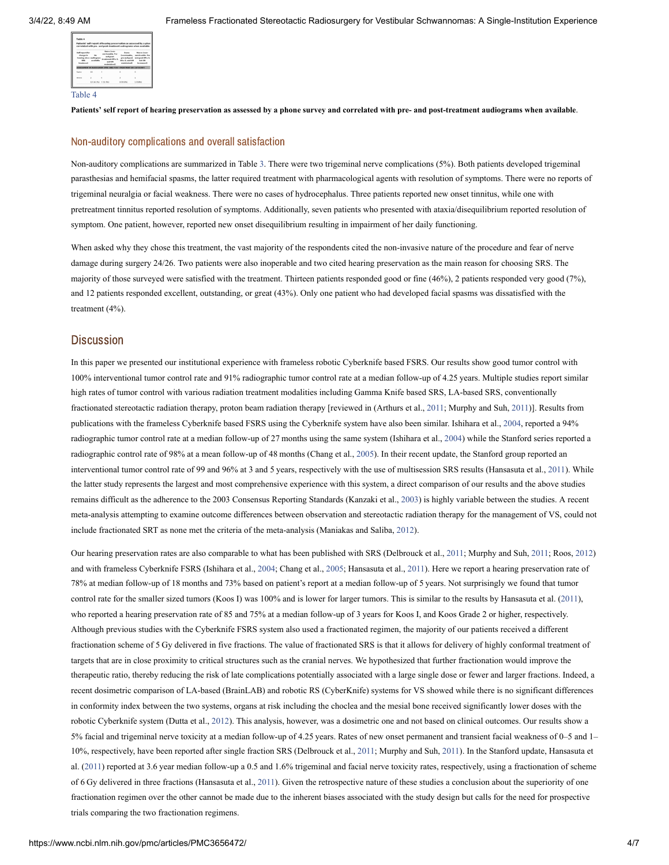| talf report for<br>change in<br>hearing since audioscar<br>ses<br><b><i><u>Brandon</u></i></b> | <b>MAG</b><br>explicitly | <b>Same Issue</b><br>serviceable, Pre-<br>and sout-<br>trasference dill x 1.<br>114.00<br><b>Elementario de</b> | <b>Same</b><br>$68.42.$ and $68.$<br>product when a dif- | <b>Marse (non-</b><br>Connecteable, conviceable, Pre-<br>are and sent and sent Gli a 1.<br>has do<br>increased! |
|------------------------------------------------------------------------------------------------|--------------------------|-----------------------------------------------------------------------------------------------------------------|----------------------------------------------------------|-----------------------------------------------------------------------------------------------------------------|
|                                                                                                |                          | ESSESSMENT BY AUGIOCARM (PRE- AND POST-TREATMENT GR CATEGORY)                                                   |                                                          |                                                                                                                 |
| Same                                                                                           | 16                       | ×                                                                                                               | é                                                        |                                                                                                                 |
| <b>MAGAZ</b>                                                                                   | ٠                        |                                                                                                                 | i.                                                       | ٠                                                                                                               |
|                                                                                                | 12 (44.2%) 3 (11.5%)     |                                                                                                                 | <b>B CREATAS</b>                                         | 3.13.891                                                                                                        |

Patients' self report of hearing preservation as assessed by a phone survey and correlated with pre- and post-treatment audiograms when available.

#### Non-auditory complications and overall satisfaction

Non-auditory complications are summarized in [Table](https://www.ncbi.nlm.nih.gov/pmc/articles/PMC3656472/table/T3/?report=objectonly) 3. There were two trigeminal nerve complications (5%). Both patients developed trigeminal parasthesias and hemifacial spasms, the latter required treatment with pharmacological agents with resolution of symptoms. There were no reports of trigeminal neuralgia or facial weakness. There were no cases of hydrocephalus. Three patients reported new onset tinnitus, while one with pretreatment tinnitus reported resolution of symptoms. Additionally, seven patients who presented with ataxia/disequilibrium reported resolution of symptom. One patient, however, reported new onset disequilibrium resulting in impairment of her daily functioning.

When asked why they chose this treatment, the vast majority of the respondents cited the non-invasive nature of the procedure and fear of nerve damage during surgery 24/26. Two patients were also inoperable and two cited hearing preservation as the main reason for choosing SRS. The majority of those surveyed were satisfied with the treatment. Thirteen patients responded good or fine (46%), 2 patients responded very good (7%), and 12 patients responded excellent, outstanding, or great (43%). Only one patient who had developed facial spasms was dissatisfied with the treatment (4%).

## **Discussion**

In this paper we presented our institutional experience with frameless robotic Cyberknife based FSRS. Our results show good tumor control with 100% interventional tumor control rate and 91% radiographic tumor control rate at a median follow-up of 4.25 years. Multiple studies report similar high rates of tumor control with various radiation treatment modalities including Gamma Knife based SRS, LA-based SRS, conventionally fractionated stereotactic radiation therapy, proton beam radiation therapy [reviewed in (Arthurs et al., [2011](#page-7-2); Murphy and Suh, [2011](#page-7-0))]. Results from publications with the frameless Cyberknife based FSRS using the Cyberknife system have also been similar. Ishihara et al., [2004,](#page-7-6) reported a 94% radiographic tumor control rate at a median follow-up of 27 months using the same system (Ishihara et al., [2004\)](#page-7-6) while the Stanford series reported a radiographic control rate of 98% at a mean follow-up of 48 months (Chang et al., [2005](#page-7-7)). In their recent update, the Stanford group reported an interventional tumor control rate of 99 and 96% at 3 and 5 years, respectively with the use of multisession SRS results (Hansasuta et al., [2011](#page-7-9)). While the latter study represents the largest and most comprehensive experience with this system, a direct comparison of our results and the above studies remains difficult as the adherence to the 2003 Consensus Reporting Standards (Kanzaki et al., [2003](#page-7-17)) is highly variable between the studies. A recent meta-analysis attempting to examine outcome differences between observation and stereotactic radiation therapy for the management of VS, could not include fractionated SRT as none met the criteria of the meta-analysis (Maniakas and Saliba, [2012](#page-7-3)).

Our hearing preservation rates are also comparable to what has been published with SRS (Delbrouck et al., [2011](#page-7-18); Murphy and Suh, [2011](#page-7-0); Roos, [2012\)](#page-8-1) and with frameless Cyberknife FSRS (Ishihara et al., [2004;](#page-7-6) Chang et al., [2005;](#page-7-7) Hansasuta et al., [2011\)](#page-7-9). Here we report a hearing preservation rate of 78% at median follow-up of 18 months and 73% based on patient's report at a median follow-up of 5 years. Not surprisingly we found that tumor control rate for the smaller sized tumors (Koos I) was 100% and is lower for larger tumors. This is similar to the results by Hansasuta et al. ([2011](#page-7-9)), who reported a hearing preservation rate of 85 and 75% at a median follow-up of 3 years for Koos I, and Koos Grade 2 or higher, respectively. Although previous studies with the Cyberknife FSRS system also used a fractionated regimen, the majority of our patients received a different fractionation scheme of 5 Gy delivered in five fractions. The value of fractionated SRS is that it allows for delivery of highly conformal treatment of targets that are in close proximity to critical structures such as the cranial nerves. We hypothesized that further fractionation would improve the therapeutic ratio, thereby reducing the risk of late complications potentially associated with a large single dose or fewer and larger fractions. Indeed, a recent dosimetric comparison of LA-based (BrainLAB) and robotic RS (CyberKnife) systems for VS showed while there is no significant differences in conformity index between the two systems, organs at risk including the choclea and the mesial bone received significantly lower doses with the robotic Cyberknife system (Dutta et al., [2012\)](#page-7-19). This analysis, however, was a dosimetric one and not based on clinical outcomes. Our results show a 5% facial and trigeminal nerve toxicity at a median follow-up of 4.25 years. Rates of new onset permanent and transient facial weakness of 0–5 and 1– 10%, respectively, have been reported after single fraction SRS (Delbrouck et al., [2011](#page-7-18); Murphy and Suh, [2011](#page-7-0)). In the Stanford update, Hansasuta et al. ([2011](#page-7-9)) reported at 3.6 year median follow-up a 0.5 and 1.6% trigeminal and facial nerve toxicity rates, respectively, using a fractionation of scheme of 6 Gy delivered in three fractions (Hansasuta et al., [2011\)](#page-7-9). Given the retrospective nature of these studies a conclusion about the superiority of one fractionation regimen over the other cannot be made due to the inherent biases associated with the study design but calls for the need for prospective trials comparing the two fractionation regimens.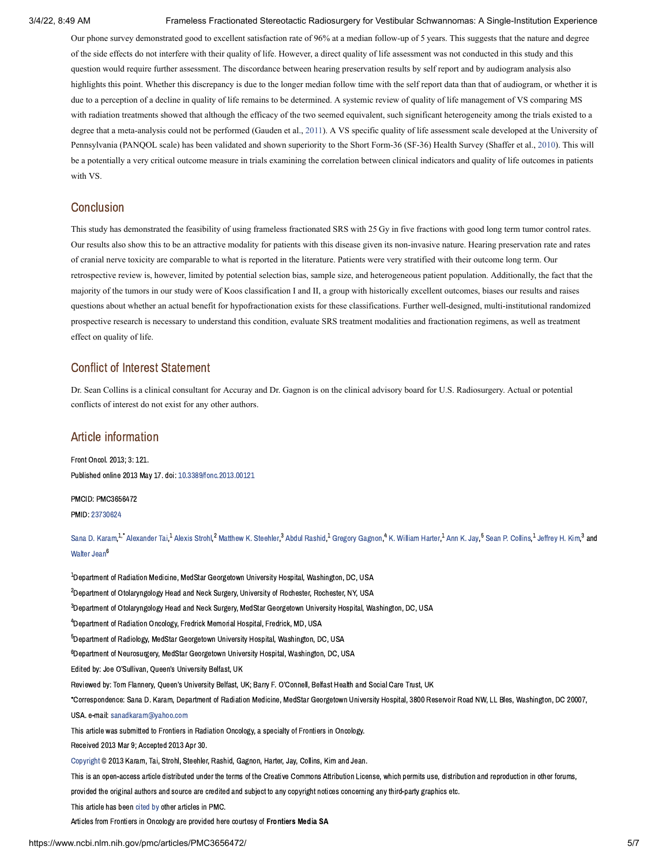Our phone survey demonstrated good to excellent satisfaction rate of 96% at a median follow-up of 5 years. This suggests that the nature and degree of the side effects do not interfere with their quality of life. However, a direct quality of life assessment was not conducted in this study and this question would require further assessment. The discordance between hearing preservation results by self report and by audiogram analysis also highlights this point. Whether this discrepancy is due to the longer median follow time with the self report data than that of audiogram, or whether it is due to a perception of a decline in quality of life remains to be determined. A systemic review of quality of life management of VS comparing MS with radiation treatments showed that although the efficacy of the two seemed equivalent, such significant heterogeneity among the trials existed to a degree that a meta-analysis could not be performed (Gauden et al., [2011](#page-7-20)). A VS specific quality of life assessment scale developed at the University of Pennsylvania (PANQOL scale) has been validated and shown superiority to the Short Form-36 (SF-36) Health Survey (Shaffer et al., [2010](#page-8-4)). This will be a potentially a very critical outcome measure in trials examining the correlation between clinical indicators and quality of life outcomes in patients with VS.

## Conclusion

This study has demonstrated the feasibility of using frameless fractionated SRS with 25 Gy in five fractions with good long term tumor control rates. Our results also show this to be an attractive modality for patients with this disease given its non-invasive nature. Hearing preservation rate and rates of cranial nerve toxicity are comparable to what is reported in the literature. Patients were very stratified with their outcome long term. Our retrospective review is, however, limited by potential selection bias, sample size, and heterogeneous patient population. Additionally, the fact that the majority of the tumors in our study were of Koos classification I and II, a group with historically excellent outcomes, biases our results and raises questions about whether an actual benefit for hypofractionation exists for these classifications. Further well-designed, multi-institutional randomized prospective research is necessary to understand this condition, evaluate SRS treatment modalities and fractionation regimens, as well as treatment effect on quality of life.

# Conflict of Interest Statement

Dr. Sean Collins is a clinical consultant for Accuray and Dr. Gagnon is on the clinical advisory board for U.S. Radiosurgery. Actual or potential conflicts of interest do not exist for any other authors.

# Article information

Front Oncol. 2013; 3: 121. Published online 2013 May 17. doi: [10.3389/fonc.2013.00121](https://dx.doi.org/10.3389%2Ffonc.2013.00121)

PMCID: PMC3656472 PMID: [23730624](https://www.ncbi.nlm.nih.gov/pubmed/23730624)

Sana D. [Karam](https://www.ncbi.nlm.nih.gov/pubmed/?term=Karam%20SD%5BAuthor%5D&cauthor=true&cauthor_uid=23730624), <sup>1,\*</sup> [Alexander](https://www.ncbi.nlm.nih.gov/pubmed/?term=Tai%20A%5BAuthor%5D&cauthor=true&cauthor_uid=23730624) Tai, <sup>1</sup> [Alexis](https://www.ncbi.nlm.nih.gov/pubmed/?term=Strohl%20A%5BAuthor%5D&cauthor=true&cauthor_uid=23730624) Strohl,<sup>2</sup> Matthew K. [Steehler,](https://www.ncbi.nlm.nih.gov/pubmed/?term=Steehler%20MK%5BAuthor%5D&cauthor=true&cauthor_uid=23730624) <sup>3</sup> Abdul [Rashid](https://www.ncbi.nlm.nih.gov/pubmed/?term=Rashid%20A%5BAuthor%5D&cauthor=true&cauthor_uid=23730624), <sup>1</sup> [Gregory](https://www.ncbi.nlm.nih.gov/pubmed/?term=Gagnon%20G%5BAuthor%5D&cauthor=true&cauthor_uid=23730624) Gagnon, <sup>4</sup> K. [William](https://www.ncbi.nlm.nih.gov/pubmed/?term=Harter%20KW%5BAuthor%5D&cauthor=true&cauthor_uid=23730624) Harter, <sup>1</sup> [Ann](https://www.ncbi.nlm.nih.gov/pubmed/?term=Jay%20AK%5BAuthor%5D&cauthor=true&cauthor_uid=23730624) K. Jav, <sup>5</sup> Sean P. [Collins](https://www.ncbi.nlm.nih.gov/pubmed/?term=Collins%20SP%5BAuthor%5D&cauthor=true&cauthor_uid=23730624), <sup>1</sup> [Jeffrey](https://www.ncbi.nlm.nih.gov/pubmed/?term=Kim%20JH%5BAuthor%5D&cauthor=true&cauthor_uid=23730624) H. Kim, <sup>3</sup> and [Walter](https://www.ncbi.nlm.nih.gov/pubmed/?term=Jean%20W%5BAuthor%5D&cauthor=true&cauthor_uid=23730624) Jean<sup>6</sup>

 $^{\rm 1}$ Department of Radiation Medicine, MedStar Georgetown University Hospital, Washington, DC, USA  $^2$ Department of Otolaryngology Head and Neck Surgery, University of Rochester, Rochester, NY, USA <sup>3</sup>Department of Otolaryngology Head and Neck Surgery, MedStar Georgetown University Hospital, Washington, DC, USA <sup>4</sup> Department of Radiation Oncology, Fredrick Memorial Hospital, Fredrick, MD, USA  $^{\rm 5}$ Department of Radiology, MedStar Georgetown University Hospital, Washington, DC, USA  $6$ Department of Neurosurgery, MedStar Georgetown University Hospital, Washington, DC, USA Edited by: Joe O'Sullivan, Queen's University Belfast, UK Reviewed by: Tom Flannery, Queen's University Belfast, UK; Barry F. O'Connell, Belfast Health and Social Care Trust, UK \*Correspondence: Sana D. Karam, Department of Radiation Medicine, MedStar Georgetown University Hospital, 3800 Reservoir Road NW, LL Bles, Washington, DC 20007, USA. e-mail: [sanadkaram@yahoo.com](mailto:dev@null) This article was submitted to Frontiers in Radiation Oncology, a specialty of Frontiers in Oncology. Received 2013 Mar 9; Accepted 2013 Apr 30. [Copyright](https://www.ncbi.nlm.nih.gov/pmc/about/copyright/) © 2013 Karam, Tai, Strohl, Steehler, Rashid, Gagnon, Harter, Jay, Collins, Kim and Jean. This is an open-access article distributed under the terms of the Creative Commons Attribution License, which permits use, distribution and reproduction in other forums, provided the original authors and source are credited and subject to any copyright notices concerning any third-party graphics etc. This article has been [cited](https://www.ncbi.nlm.nih.gov/pmc/articles/PMC3656472/citedby/) by other articles in PMC. Articles from Frontiers in Oncology are provided here courtesy of Frontiers Media SA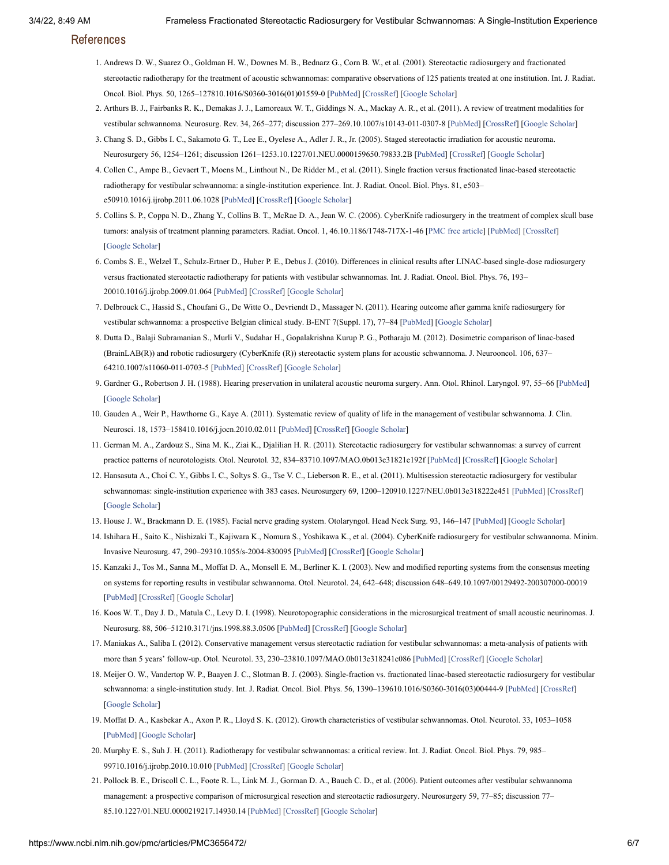References

- <span id="page-7-10"></span>1. Andrews D. W., Suarez O., Goldman H. W., Downes M. B., Bednarz G., Corn B. W., et al. (2001). Stereotactic radiosurgery and fractionated stereotactic radiotherapy for the treatment of acoustic schwannomas: comparative observations of 125 patients treated at one institution. Int. J. Radiat. Oncol. Biol. Phys. 50, 1265–127810.1016/S0360-3016(01)01559-0 [\[PubMed\]](https://www.ncbi.nlm.nih.gov/pubmed/11483338) [\[CrossRef](https://dx.doi.org/10.1016%2FS0360-3016(01)01559-0)] [[Google Scholar](https://scholar.google.com/scholar_lookup?journal=Int.+J.+Radiat.+Oncol.+Biol.+Phys.&title=Stereotactic+radiosurgery+and+fractionated+stereotactic+radiotherapy+for+the+treatment+of+acoustic+schwannomas:+comparative+observations+of+125+patients+treated+at+one+institution&author=D.+W.+Andrews&author=O.+Suarez&author=H.+W.+Goldman&author=M.+B.+Downes&author=G.+Bednarz&volume=50&publication_year=2001&pages=1265-1278&pmid=11483338&doi=10.1016/S0360-3016(01)01559-0&)]
- <span id="page-7-2"></span>2. Arthurs B. J., Fairbanks R. K., Demakas J. J., Lamoreaux W. T., Giddings N. A., Mackay A. R., et al. (2011). A review of treatment modalities for vestibular schwannoma. Neurosurg. Rev. 34, 265–277; discussion 277–269.10.1007/s10143-011-0307-8 [\[PubMed\]](https://www.ncbi.nlm.nih.gov/pubmed/21305333) [\[CrossRef](https://dx.doi.org/10.1007%2Fs10143-011-0307-8)] [[Google Scholar](https://scholar.google.com/scholar_lookup?journal=Neurosurg.+Rev.&title=A+review+of+treatment+modalities+for+vestibular+schwannoma&author=B.+J.+Arthurs&author=R.+K.+Fairbanks&author=J.+J.+Demakas&author=W.+T.+Lamoreaux&author=N.+A.+Giddings&volume=34&publication_year=2011&pages=265-277&pmid=21305333&doi=10.1007/s10143-011-0307-8&)]
- <span id="page-7-7"></span>3. Chang S. D., Gibbs I. C., Sakamoto G. T., Lee E., Oyelese A., Adler J. R., Jr. (2005). Staged stereotactic irradiation for acoustic neuroma. Neurosurgery 56, 1254–1261; discussion 1261–1253.10.1227/01.NEU.0000159650.79833.2B [[PubMed](https://www.ncbi.nlm.nih.gov/pubmed/15918941)] [\[CrossRef](https://dx.doi.org/10.1227%2F01.NEU.0000159650.79833.2B)] [[Google Scholar](https://scholar.google.com/scholar_lookup?journal=Neurosurgery&title=Staged+stereotactic+irradiation+for+acoustic+neuroma&author=S.+D.+Chang&author=I.+C.+Gibbs&author=G.+T.+Sakamoto&author=E.+Lee&author=A.+Oyelese&volume=56&publication_year=2005&pages=1254-1261&pmid=15918941&doi=10.1227/01.NEU.0000159650.79833.2B&)]
- <span id="page-7-8"></span>4. Collen C., Ampe B., Gevaert T., Moens M., Linthout N., De Ridder M., et al. (2011). Single fraction versus fractionated linac-based stereotactic radiotherapy for vestibular schwannoma: a single-institution experience. Int. J. Radiat. Oncol. Biol. Phys. 81, e503– e50910.1016/j.ijrobp.2011.06.1028 [\[PubMed\]](https://www.ncbi.nlm.nih.gov/pubmed/21665381) [[CrossRef](https://dx.doi.org/10.1016%2Fj.ijrobp.2011.06.1028)] [\[Google Scholar](https://scholar.google.com/scholar_lookup?journal=Int.+J.+Radiat.+Oncol.+Biol.+Phys.&title=Single+fraction+versus+fractionated+linac-based+stereotactic+radiotherapy+for+vestibular+schwannoma:+a+single-institution+experience&author=C.+Collen&author=B.+Ampe&author=T.+Gevaert&author=M.+Moens&author=N.+Linthout&volume=81&publication_year=2011&pages=e503-e509&pmid=21665381&doi=10.1016/j.ijrobp.2011.06.1028&)]
- <span id="page-7-16"></span>5. Collins S. P., Coppa N. D., Zhang Y., Collins B. T., McRae D. A., Jean W. C. (2006). CyberKnife radiosurgery in the treatment of complex skull base tumors: analysis of treatment planning parameters. Radiat. Oncol. 1, 46.10.1186/1748-717X-1-46 [\[PMC free article](https://www.ncbi.nlm.nih.gov/pmc/articles/PMC1764417/?report=reader)] [[PubMed](https://www.ncbi.nlm.nih.gov/pubmed/17173702)] [\[CrossRef](https://dx.doi.org/10.1186%2F1748-717X-1-46)] [\[Google Scholar](https://scholar.google.com/scholar_lookup?journal=Radiat.+Oncol.&title=CyberKnife+radiosurgery+in+the+treatment+of+complex+skull+base+tumors:+analysis+of+treatment+planning+parameters&author=S.+P.+Collins&author=N.+D.+Coppa&author=Y.+Zhang&author=B.+T.+Collins&author=D.+A.+McRae&volume=1&publication_year=2006&pages=46&pmid=17173702&doi=10.1186/1748-717X-1-46&)]
- <span id="page-7-12"></span>6. Combs S. E., Welzel T., Schulz-Ertner D., Huber P. E., Debus J. (2010). Differences in clinical results after LINAC-based single-dose radiosurgery versus fractionated stereotactic radiotherapy for patients with vestibular schwannomas. Int. J. Radiat. Oncol. Biol. Phys. 76, 193– 20010.1016/j.ijrobp.2009.01.064 [\[PubMed\]](https://www.ncbi.nlm.nih.gov/pubmed/19604653) [[CrossRef](https://dx.doi.org/10.1016%2Fj.ijrobp.2009.01.064)] [\[Google Scholar](https://scholar.google.com/scholar_lookup?journal=Int.+J.+Radiat.+Oncol.+Biol.+Phys.&title=Differences+in+clinical+results+after+LINAC-based+single-dose+radiosurgery+versus+fractionated+stereotactic+radiotherapy+for+patients+with+vestibular+schwannomas&author=S.+E.+Combs&author=T.+Welzel&author=D.+Schulz-Ertner&author=P.+E.+Huber&author=J.+Debus&volume=76&publication_year=2010&pages=193-200&pmid=19604653&doi=10.1016/j.ijrobp.2009.01.064&)]
- <span id="page-7-18"></span>7. Delbrouck C., Hassid S., Choufani G., De Witte O., Devriendt D., Massager N. (2011). Hearing outcome after gamma knife radiosurgery for vestibular schwannoma: a prospective Belgian clinical study. B-ENT 7(Suppl. 17), 77–84 [[PubMed](https://www.ncbi.nlm.nih.gov/pubmed/22338378)] [[Google Scholar\]](https://scholar.google.com/scholar_lookup?journal=B-ENT&title=Hearing+outcome+after+gamma+knife+radiosurgery+for+vestibular+schwannoma:+a+prospective+Belgian+clinical+study&author=C.+Delbrouck&author=S.+Hassid&author=G.+Choufani&author=O.+De+Witte&author=D.+Devriendt&volume=7&issue=Suppl.+17&publication_year=2011&pages=77-84&pmid=22338378&)
- <span id="page-7-19"></span>8. Dutta D., Balaji Subramanian S., Murli V., Sudahar H., Gopalakrishna Kurup P. G., Potharaju M. (2012). Dosimetric comparison of linac-based (BrainLAB(R)) and robotic radiosurgery (CyberKnife (R)) stereotactic system plans for acoustic schwannoma. J. Neurooncol. 106, 637– 64210.1007/s11060-011-0703-5 [[PubMed](https://www.ncbi.nlm.nih.gov/pubmed/21892741)] [[CrossRef\]](https://dx.doi.org/10.1007%2Fs11060-011-0703-5) [[Google Scholar\]](https://scholar.google.com/scholar_lookup?journal=J.+Neurooncol.&title=Dosimetric+comparison+of+linac-based+(BrainLAB(R))+and+robotic+radiosurgery+(CyberKnife+(R))+stereotactic+system+plans+for+acoustic+schwannoma&author=D.+Dutta&author=S.+Balaji+Subramanian&author=V.+Murli&author=H.+Sudahar&author=P.+G.+Gopalakrishna+Kurup&volume=106&publication_year=2012&pages=637-642&pmid=21892741&doi=10.1007/s11060-011-0703-5&)
- <span id="page-7-13"></span>9. Gardner G., Robertson J. H. (1988). Hearing preservation in unilateral acoustic neuroma surgery. Ann. Otol. Rhinol. Laryngol. 97, 55–66 [[PubMed\]](https://www.ncbi.nlm.nih.gov/pubmed/3277525) [\[Google Scholar](https://scholar.google.com/scholar_lookup?journal=Ann.+Otol.+Rhinol.+Laryngol.&title=Hearing+preservation+in+unilateral+acoustic+neuroma+surgery&author=G.+Gardner&author=J.+H.+Robertson&volume=97&publication_year=1988&pages=55-66&pmid=3277525&)]
- <span id="page-7-20"></span>10. Gauden A., Weir P., Hawthorne G., Kaye A. (2011). Systematic review of quality of life in the management of vestibular schwannoma. J. Clin. Neurosci. 18, 1573–158410.1016/j.jocn.2010.02.011 [[PubMed](https://www.ncbi.nlm.nih.gov/pubmed/22014598)] [[CrossRef\]](https://dx.doi.org/10.1016%2Fj.jocn.2010.02.011) [\[Google Scholar\]](https://scholar.google.com/scholar_lookup?journal=J.+Clin.+Neurosci.&title=Systematic+review+of+quality+of+life+in+the+management+of+vestibular+schwannoma&author=A.+Gauden&author=P.+Weir&author=G.+Hawthorne&author=A.+Kaye&volume=18&publication_year=2011&pages=1573-1584&pmid=22014598&doi=10.1016/j.jocn.2010.02.011&)
- <span id="page-7-5"></span>11. German M. A., Zardouz S., Sina M. K., Ziai K., Djalilian H. R. (2011). Stereotactic radiosurgery for vestibular schwannomas: a survey of current practice patterns of neurotologists. Otol. Neurotol. 32, 834–83710.1097/MAO.0b013e31821e192f [[PubMed](https://www.ncbi.nlm.nih.gov/pubmed/21659929)] [[CrossRef\]](https://dx.doi.org/10.1097%2FMAO.0b013e31821e192f) [[Google Scholar](https://scholar.google.com/scholar_lookup?journal=Otol.+Neurotol.&title=Stereotactic+radiosurgery+for+vestibular+schwannomas:+a+survey+of+current+practice+patterns+of+neurotologists&author=M.+A.+German&author=S.+Zardouz&author=M.+K.+Sina&author=K.+Ziai&author=H.+R.+Djalilian&volume=32&publication_year=2011&pages=834-837&pmid=21659929&doi=10.1097/MAO.0b013e31821e192f&)]
- <span id="page-7-9"></span>12. Hansasuta A., Choi C. Y., Gibbs I. C., Soltys S. G., Tse V. C., Lieberson R. E., et al. (2011). Multisession stereotactic radiosurgery for vestibular schwannomas: single-institution experience with 383 cases. Neurosurgery 69, 1200–120910.1227/NEU.0b013e318222e451 [[PubMed\]](https://www.ncbi.nlm.nih.gov/pubmed/21558974) [[CrossRef\]](https://dx.doi.org/10.1227%2FNEU.0b013e318222e451) [\[Google Scholar](https://scholar.google.com/scholar_lookup?journal=Neurosurgery&title=Multisession+stereotactic+radiosurgery+for+vestibular+schwannomas:+single-institution+experience+with+383+cases&author=A.+Hansasuta&author=C.+Y.+Choi&author=I.+C.+Gibbs&author=S.+G.+Soltys&author=V.+C.+Tse&volume=69&publication_year=2011&pages=1200-1209&pmid=21558974&doi=10.1227/NEU.0b013e318222e451&)]
- <span id="page-7-14"></span>13. House J. W., Brackmann D. E. (1985). Facial nerve grading system. Otolaryngol. Head Neck Surg. 93, 146–147 [[PubMed\]](https://www.ncbi.nlm.nih.gov/pubmed/3921901) [[Google Scholar\]](https://scholar.google.com/scholar_lookup?journal=Otolaryngol.+Head+Neck+Surg.&title=Facial+nerve+grading+system&author=J.+W.+House&author=D.+E.+Brackmann&volume=93&publication_year=1985&pages=146-147&pmid=3921901&)
- <span id="page-7-6"></span>14. Ishihara H., Saito K., Nishizaki T., Kajiwara K., Nomura S., Yoshikawa K., et al. (2004). CyberKnife radiosurgery for vestibular schwannoma. Minim. Invasive Neurosurg. 47, 290–29310.1055/s-2004-830095 [\[PubMed\]](https://www.ncbi.nlm.nih.gov/pubmed/15578342) [[CrossRef](https://dx.doi.org/10.1055%2Fs-2004-830095)] [\[Google Scholar](https://scholar.google.com/scholar_lookup?journal=Minim.+Invasive+Neurosurg.&title=CyberKnife+radiosurgery+for+vestibular+schwannoma&author=H.+Ishihara&author=K.+Saito&author=T.+Nishizaki&author=K.+Kajiwara&author=S.+Nomura&volume=47&publication_year=2004&pages=290-293&pmid=15578342&doi=10.1055/s-2004-830095&)]
- <span id="page-7-17"></span>15. Kanzaki J., Tos M., Sanna M., Moffat D. A., Monsell E. M., Berliner K. I. (2003). New and modified reporting systems from the consensus meeting on systems for reporting results in vestibular schwannoma. Otol. Neurotol. 24, 642–648; discussion 648–649.10.1097/00129492-200307000-00019 [\[PubMed\]](https://www.ncbi.nlm.nih.gov/pubmed/12851559) [[CrossRef\]](https://dx.doi.org/10.1097%2F00129492-200307000-00019) [[Google Scholar](https://scholar.google.com/scholar_lookup?journal=Otol.+Neurotol.&title=New+and+modified+reporting+systems+from+the+consensus+meeting+on+systems+for+reporting+results+in+vestibular+schwannoma&author=J.+Kanzaki&author=M.+Tos&author=M.+Sanna&author=D.+A.+Moffat&author=E.+M.+Monsell&volume=24&publication_year=2003&pages=642-648&pmid=12851559&doi=10.1097/00129492-200307000-00019&)]
- <span id="page-7-15"></span>16. Koos W. T., Day J. D., Matula C., Levy D. I. (1998). Neurotopographic considerations in the microsurgical treatment of small acoustic neurinomas. J. Neurosurg. 88, 506–51210.3171/jns.1998.88.3.0506 [\[PubMed\]](https://www.ncbi.nlm.nih.gov/pubmed/9488305) [\[CrossRef](https://dx.doi.org/10.3171%2Fjns.1998.88.3.0506)] [\[Google Scholar](https://scholar.google.com/scholar_lookup?journal=J.+Neurosurg.&title=Neurotopographic+considerations+in+the+microsurgical+treatment+of+small+acoustic+neurinomas&author=W.+T.+Koos&author=J.+D.+Day&author=C.+Matula&author=D.+I.+Levy&volume=88&publication_year=1998&pages=506-512&pmid=9488305&doi=10.3171/jns.1998.88.3.0506&)]
- <span id="page-7-3"></span>17. Maniakas A., Saliba I. (2012). Conservative management versus stereotactic radiation for vestibular schwannomas: a meta-analysis of patients with more than 5 years' follow-up. Otol. Neurotol. 33, 230–23810.1097/MAO.0b013e318241c086 [[PubMed\]](https://www.ncbi.nlm.nih.gov/pubmed/22222572) [[CrossRef\]](https://dx.doi.org/10.1097%2FMAO.0b013e318241c086) [[Google Scholar\]](https://scholar.google.com/scholar_lookup?journal=Otol.+Neurotol.&title=Conservative+management+versus+stereotactic+radiation+for+vestibular+schwannomas:+a+meta-analysis+of+patients+with+more+than+5+years%E2%80%99+follow-up&author=A.+Maniakas&author=I.+Saliba&volume=33&publication_year=2012&pages=230-238&pmid=22222572&doi=10.1097/MAO.0b013e318241c086&)
- <span id="page-7-11"></span>18. Meijer O. W., Vandertop W. P., Baayen J. C., Slotman B. J. (2003). Single-fraction vs. fractionated linac-based stereotactic radiosurgery for vestibular schwannoma: a single-institution study. Int. J. Radiat. Oncol. Biol. Phys. 56, 1390–139610.1016/S0360-3016(03)00444-9 [[PubMed](https://www.ncbi.nlm.nih.gov/pubmed/12873685)] [[CrossRef\]](https://dx.doi.org/10.1016%2FS0360-3016(03)00444-9) [\[Google Scholar](https://scholar.google.com/scholar_lookup?journal=Int.+J.+Radiat.+Oncol.+Biol.+Phys.&title=Single-fraction+vs.+fractionated+linac-based+stereotactic+radiosurgery+for+vestibular+schwannoma:+a+single-institution+study&author=O.+W.+Meijer&author=W.+P.+Vandertop&author=J.+C.+Baayen&author=B.+J.+Slotman&volume=56&publication_year=2003&pages=1390-1396&pmid=12873685&doi=10.1016/S0360-3016(03)00444-9&)]
- <span id="page-7-1"></span>19. Moffat D. A., Kasbekar A., Axon P. R., Lloyd S. K. (2012). Growth characteristics of vestibular schwannomas. Otol. Neurotol. 33, 1053–1058 [\[PubMed\]](https://www.ncbi.nlm.nih.gov/pubmed/22710554) [[Google Scholar\]](https://scholar.google.com/scholar_lookup?journal=Otol.+Neurotol.&title=Growth+characteristics+of+vestibular+schwannomas&author=D.+A.+Moffat&author=A.+Kasbekar&author=P.+R.+Axon&author=S.+K.+Lloyd&volume=33&publication_year=2012&pages=1053-1058&pmid=22710554&)
- <span id="page-7-0"></span>20. Murphy E. S., Suh J. H. (2011). Radiotherapy for vestibular schwannomas: a critical review. Int. J. Radiat. Oncol. Biol. Phys. 79, 985– 99710.1016/j.ijrobp.2010.10.010 [\[PubMed\]](https://www.ncbi.nlm.nih.gov/pubmed/21353158) [[CrossRef](https://dx.doi.org/10.1016%2Fj.ijrobp.2010.10.010)] [\[Google Scholar](https://scholar.google.com/scholar_lookup?journal=Int.+J.+Radiat.+Oncol.+Biol.+Phys.&title=Radiotherapy+for+vestibular+schwannomas:+a+critical+review&author=E.+S.+Murphy&author=J.+H.+Suh&volume=79&publication_year=2011&pages=985-997&pmid=21353158&doi=10.1016/j.ijrobp.2010.10.010&)]
- <span id="page-7-4"></span>21. Pollock B. E., Driscoll C. L., Foote R. L., Link M. J., Gorman D. A., Bauch C. D., et al. (2006). Patient outcomes after vestibular schwannoma management: a prospective comparison of microsurgical resection and stereotactic radiosurgery. Neurosurgery 59, 77–85; discussion 77– 85.10.1227/01.NEU.0000219217.14930.14 [\[PubMed\]](https://www.ncbi.nlm.nih.gov/pubmed/16823303) [[CrossRef](https://dx.doi.org/10.1227%2F01.NEU.0000219217.14930.14)] [[Google Scholar](https://scholar.google.com/scholar_lookup?journal=Neurosurgery&title=Patient+outcomes+after+vestibular+schwannoma+management:+a+prospective+comparison+of+microsurgical+resection+and+stereotactic+radiosurgery&author=B.+E.+Pollock&author=C.+L.+Driscoll&author=R.+L.+Foote&author=M.+J.+Link&author=D.+A.+Gorman&volume=59&publication_year=2006&pages=77-85&pmid=16823303&doi=10.1227/01.NEU.0000219217.14930.14&)]